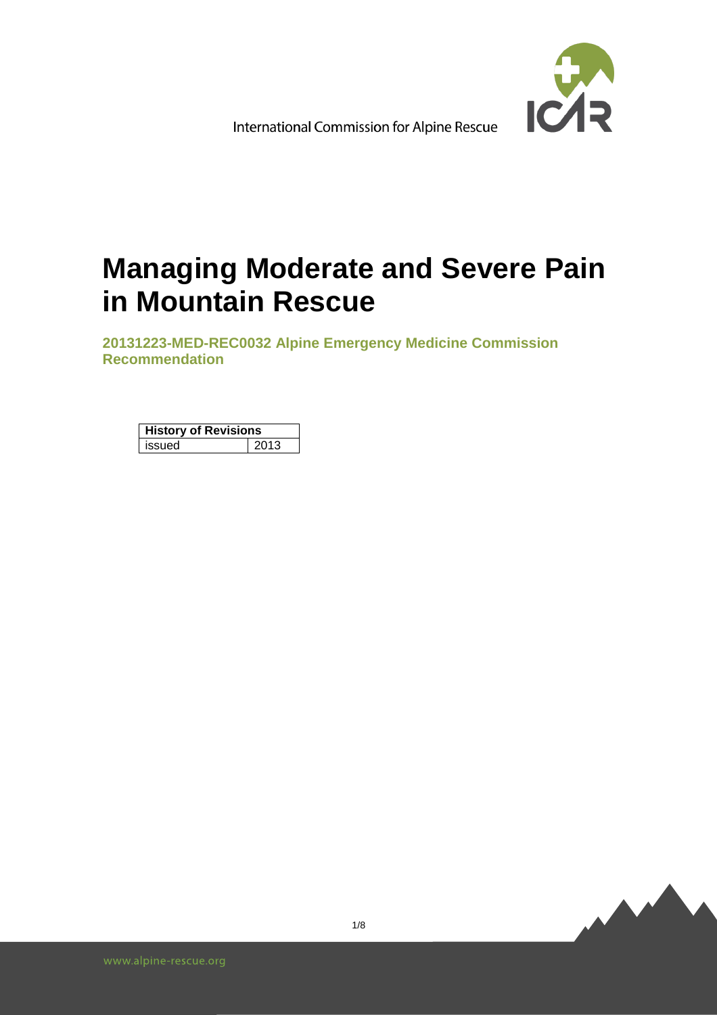

International Commission for Alpine Rescue

# **Managing Moderate and Severe Pain in Mountain Rescue**

**20131223-MED-REC0032 Alpine Emergency Medicine Commission Recommendation**

| <b>History of Revisions</b> |      |  |
|-----------------------------|------|--|
| issued                      | 2013 |  |

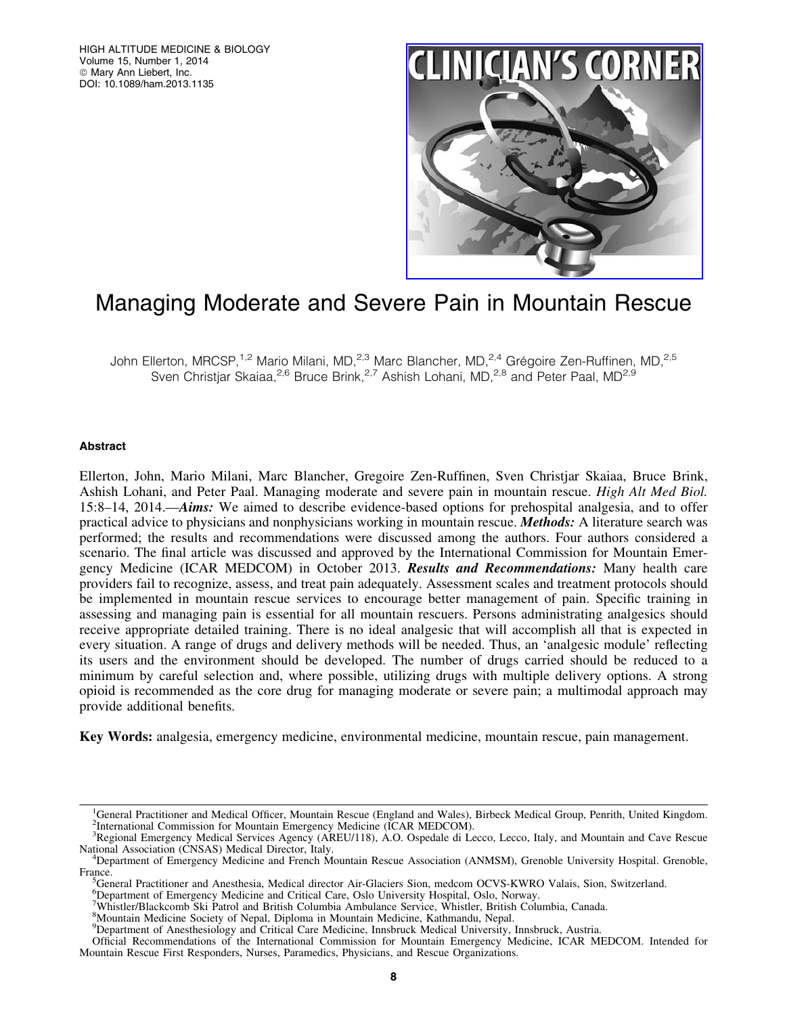HIGH ALTITUDE MEDICINE & BIOLOGY Volume 15, Number 1, 2014  $@$  Mary Ann Liebert, Inc. DOI: 10.1089/ham.2013.1135



# Managing Moderate and Severe Pain in Mountain Rescue

John Ellerton, MRCSP,<sup>1,2</sup> Mario Milani, MD,<sup>2,3</sup> Marc Blancher, MD,<sup>2,4</sup> Grégoire Zen-Ruffinen, MD,<sup>2,5</sup> Sven Christjar Skaiaa,<sup>2,6</sup> Bruce Brink,<sup>2,7</sup> Ashish Lohani, MD,<sup>2,8</sup> and Peter Paal, MD<sup>2,9</sup>

# Abstract

Ellerton, John, Mario Milani, Marc Blancher, Gregoire Zen-Ruffinen, Sven Christjar Skaiaa, Bruce Brink, Ashish Lohani, and Peter Paal. Managing moderate and severe pain in mountain rescue. *High Alt Med Biol.* 15:8–14, 2014.—Aims: We aimed to describe evidence-based options for prehospital analgesia, and to offer practical advice to physicians and nonphysicians working in mountain rescue. Methods: A literature search was performed; the results and recommendations were discussed among the authors. Four authors considered a scenario. The final article was discussed and approved by the International Commission for Mountain Emergency Medicine (ICAR MEDCOM) in October 2013. Results and Recommendations: Many health care providers fail to recognize, assess, and treat pain adequately. Assessment scales and treatment protocols should be implemented in mountain rescue services to encourage better management of pain. Specific training in assessing and managing pain is essential for all mountain rescuers. Persons administrating analgesics should receive appropriate detailed training. There is no ideal analgesic that will accomplish all that is expected in every situation. A range of drugs and delivery methods will be needed. Thus, an 'analgesic module' reflecting its users and the environment should be developed. The number of drugs carried should be reduced to a minimum by careful selection and, where possible, utilizing drugs with multiple delivery options. A strong opioid is recommended as the core drug for managing moderate or severe pain; a multimodal approach may provide additional benefits.

Key Words: analgesia, emergency medicine, environmental medicine, mountain rescue, pain management.

<sup>6</sup>Department of Emergency Medicine and Critical Care, Oslo University Hospital, Oslo, Norway.

<sup>&</sup>lt;sup>1</sup>General Practitioner and Medical Officer, Mountain Rescue (England and Wales), Birbeck Medical Group, Penrith, United Kingdom. 2 International Commission for Mountain Emergency Medicine (ICAR MEDCOM). 3 Regional Emergency Medical Services Agency (AREU/118), A.O. Ospedale di Lecco, Lecco, Italy, and Mountain and Cave Rescue

National Association (CNSAS) Medical Director, Italy. <sup>4</sup>

Department of Emergency Medicine and French Mountain Rescue Association (ANMSM), Grenoble University Hospital. Grenoble, France.

<sup>&</sup>lt;sup>5</sup>General Practitioner and Anesthesia, Medical director Air-Glaciers Sion, medcom OCVS-KWRO Valais, Sion, Switzerland.

<sup>7</sup> Whistler/Blackcomb Ski Patrol and British Columbia Ambulance Service, Whistler, British Columbia, Canada.

<sup>8</sup> Mountain Medicine Society of Nepal, Diploma in Mountain Medicine, Kathmandu, Nepal.

<sup>9</sup> Department of Anesthesiology and Critical Care Medicine, Innsbruck Medical University, Innsbruck, Austria.

Official Recommendations of the International Commission for Mountain Emergency Medicine, ICAR MEDCOM. Intended for Mountain Rescue First Responders, Nurses, Paramedics, Physicians, and Rescue Organizations.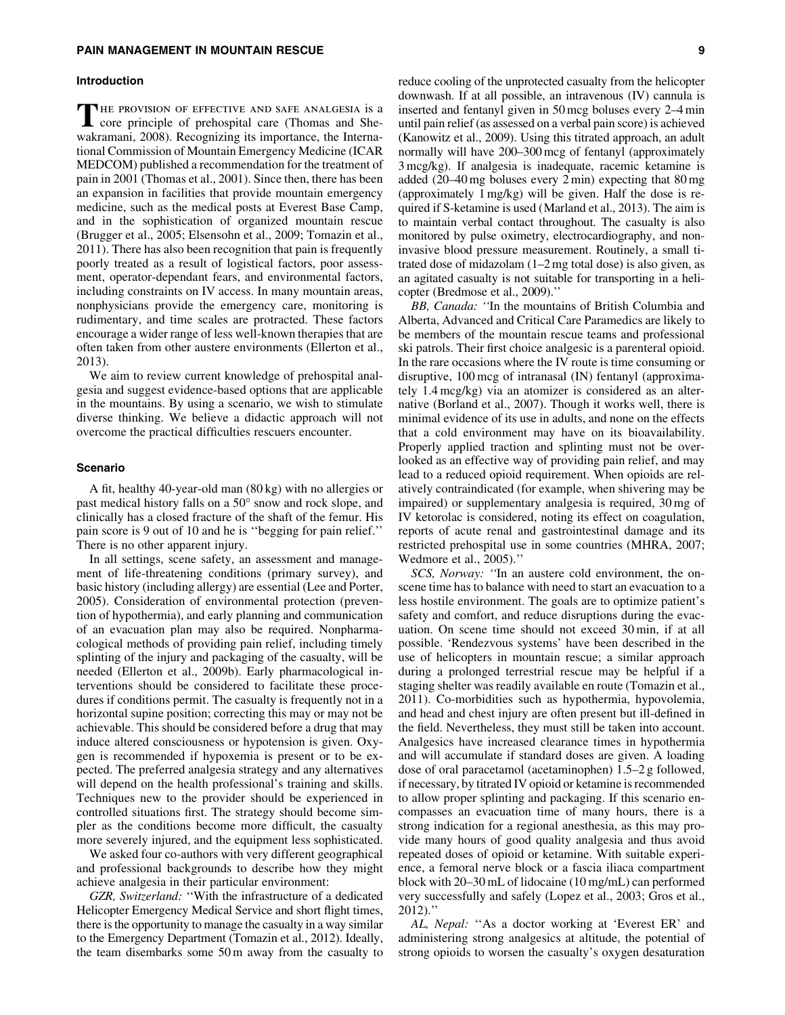#### Introduction

THE PROVISION OF EFFECTIVE AND SAFE ANALGESIA is a core principle of prehospital care (Thomas and Shewakramani, 2008). Recognizing its importance, the International Commission of Mountain Emergency Medicine (ICAR MEDCOM) published a recommendation for the treatment of pain in 2001 (Thomas et al., 2001). Since then, there has been an expansion in facilities that provide mountain emergency medicine, such as the medical posts at Everest Base Camp, and in the sophistication of organized mountain rescue (Brugger et al., 2005; Elsensohn et al., 2009; Tomazin et al., 2011). There has also been recognition that pain is frequently poorly treated as a result of logistical factors, poor assessment, operator-dependant fears, and environmental factors, including constraints on IV access. In many mountain areas, nonphysicians provide the emergency care, monitoring is rudimentary, and time scales are protracted. These factors encourage a wider range of less well-known therapies that are often taken from other austere environments (Ellerton et al., 2013).

We aim to review current knowledge of prehospital analgesia and suggest evidence-based options that are applicable in the mountains. By using a scenario, we wish to stimulate diverse thinking. We believe a didactic approach will not overcome the practical difficulties rescuers encounter.

#### Scenario

A fit, healthy 40-year-old man (80 kg) with no allergies or past medical history falls on a 50° snow and rock slope, and clinically has a closed fracture of the shaft of the femur. His pain score is 9 out of 10 and he is ''begging for pain relief.'' There is no other apparent injury.

In all settings, scene safety, an assessment and management of life-threatening conditions (primary survey), and basic history (including allergy) are essential (Lee and Porter, 2005). Consideration of environmental protection (prevention of hypothermia), and early planning and communication of an evacuation plan may also be required. Nonpharmacological methods of providing pain relief, including timely splinting of the injury and packaging of the casualty, will be needed (Ellerton et al., 2009b). Early pharmacological interventions should be considered to facilitate these procedures if conditions permit. The casualty is frequently not in a horizontal supine position; correcting this may or may not be achievable. This should be considered before a drug that may induce altered consciousness or hypotension is given. Oxygen is recommended if hypoxemia is present or to be expected. The preferred analgesia strategy and any alternatives will depend on the health professional's training and skills. Techniques new to the provider should be experienced in controlled situations first. The strategy should become simpler as the conditions become more difficult, the casualty more severely injured, and the equipment less sophisticated.

We asked four co-authors with very different geographical and professional backgrounds to describe how they might achieve analgesia in their particular environment:

*GZR, Switzerland:* ''With the infrastructure of a dedicated Helicopter Emergency Medical Service and short flight times, there is the opportunity to manage the casualty in a way similar to the Emergency Department (Tomazin et al., 2012). Ideally, the team disembarks some 50 m away from the casualty to

reduce cooling of the unprotected casualty from the helicopter downwash. If at all possible, an intravenous (IV) cannula is inserted and fentanyl given in 50 mcg boluses every 2–4 min until pain relief (as assessed on a verbal pain score) is achieved (Kanowitz et al., 2009). Using this titrated approach, an adult normally will have 200–300 mcg of fentanyl (approximately 3 mcg/kg). If analgesia is inadequate, racemic ketamine is added (20–40 mg boluses every 2 min) expecting that 80 mg (approximately 1 mg/kg) will be given. Half the dose is required if S-ketamine is used (Marland et al., 2013). The aim is to maintain verbal contact throughout. The casualty is also monitored by pulse oximetry, electrocardiography, and noninvasive blood pressure measurement. Routinely, a small titrated dose of midazolam (1–2 mg total dose) is also given, as an agitated casualty is not suitable for transporting in a helicopter (Bredmose et al., 2009).''

*BB, Canada: ''*In the mountains of British Columbia and Alberta, Advanced and Critical Care Paramedics are likely to be members of the mountain rescue teams and professional ski patrols. Their first choice analgesic is a parenteral opioid. In the rare occasions where the IV route is time consuming or disruptive, 100 mcg of intranasal (IN) fentanyl (approximately 1.4 mcg/kg) via an atomizer is considered as an alternative (Borland et al., 2007). Though it works well, there is minimal evidence of its use in adults, and none on the effects that a cold environment may have on its bioavailability. Properly applied traction and splinting must not be overlooked as an effective way of providing pain relief, and may lead to a reduced opioid requirement. When opioids are relatively contraindicated (for example, when shivering may be impaired) or supplementary analgesia is required, 30 mg of IV ketorolac is considered, noting its effect on coagulation, reports of acute renal and gastrointestinal damage and its restricted prehospital use in some countries (MHRA, 2007; Wedmore et al., 2005).''

*SCS, Norway: ''*In an austere cold environment, the onscene time has to balance with need to start an evacuation to a less hostile environment. The goals are to optimize patient's safety and comfort, and reduce disruptions during the evacuation. On scene time should not exceed 30 min, if at all possible. 'Rendezvous systems' have been described in the use of helicopters in mountain rescue; a similar approach during a prolonged terrestrial rescue may be helpful if a staging shelter was readily available en route (Tomazin et al., 2011). Co-morbidities such as hypothermia, hypovolemia, and head and chest injury are often present but ill-defined in the field. Nevertheless, they must still be taken into account. Analgesics have increased clearance times in hypothermia and will accumulate if standard doses are given. A loading dose of oral paracetamol (acetaminophen) 1.5–2 g followed, if necessary, by titrated IV opioid or ketamine is recommended to allow proper splinting and packaging. If this scenario encompasses an evacuation time of many hours, there is a strong indication for a regional anesthesia, as this may provide many hours of good quality analgesia and thus avoid repeated doses of opioid or ketamine. With suitable experience, a femoral nerve block or a fascia iliaca compartment block with 20–30 mL of lidocaine (10 mg/mL) can performed very successfully and safely (Lopez et al., 2003; Gros et al., 2012).''

*AL, Nepal:* ''As a doctor working at 'Everest ER' and administering strong analgesics at altitude, the potential of strong opioids to worsen the casualty's oxygen desaturation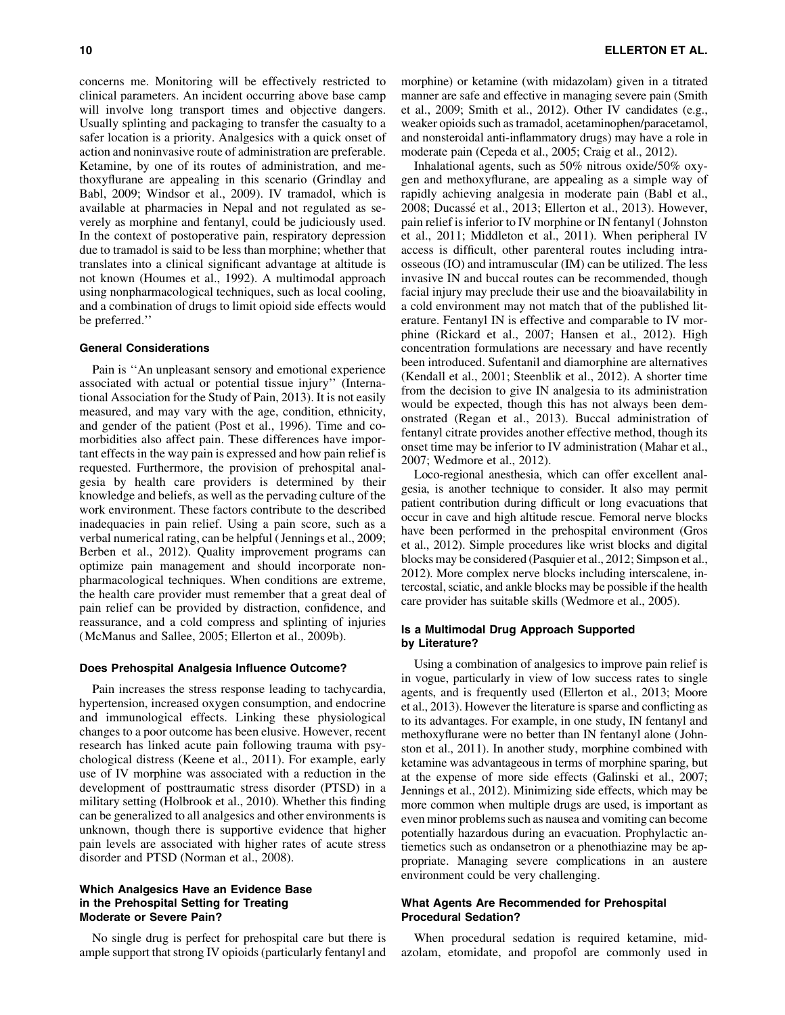concerns me. Monitoring will be effectively restricted to clinical parameters. An incident occurring above base camp will involve long transport times and objective dangers. Usually splinting and packaging to transfer the casualty to a safer location is a priority. Analgesics with a quick onset of action and noninvasive route of administration are preferable. Ketamine, by one of its routes of administration, and methoxyflurane are appealing in this scenario (Grindlay and Babl, 2009; Windsor et al., 2009). IV tramadol, which is available at pharmacies in Nepal and not regulated as severely as morphine and fentanyl, could be judiciously used. In the context of postoperative pain, respiratory depression due to tramadol is said to be less than morphine; whether that translates into a clinical significant advantage at altitude is not known (Houmes et al., 1992). A multimodal approach using nonpharmacological techniques, such as local cooling, and a combination of drugs to limit opioid side effects would be preferred.''

#### General Considerations

Pain is ''An unpleasant sensory and emotional experience associated with actual or potential tissue injury'' (International Association for the Study of Pain, 2013). It is not easily measured, and may vary with the age, condition, ethnicity, and gender of the patient (Post et al., 1996). Time and comorbidities also affect pain. These differences have important effects in the way pain is expressed and how pain relief is requested. Furthermore, the provision of prehospital analgesia by health care providers is determined by their knowledge and beliefs, as well as the pervading culture of the work environment. These factors contribute to the described inadequacies in pain relief. Using a pain score, such as a verbal numerical rating, can be helpful ( Jennings et al., 2009; Berben et al., 2012). Quality improvement programs can optimize pain management and should incorporate nonpharmacological techniques. When conditions are extreme, the health care provider must remember that a great deal of pain relief can be provided by distraction, confidence, and reassurance, and a cold compress and splinting of injuries (McManus and Sallee, 2005; Ellerton et al., 2009b).

#### Does Prehospital Analgesia Influence Outcome?

Pain increases the stress response leading to tachycardia, hypertension, increased oxygen consumption, and endocrine and immunological effects. Linking these physiological changes to a poor outcome has been elusive. However, recent research has linked acute pain following trauma with psychological distress (Keene et al., 2011). For example, early use of IV morphine was associated with a reduction in the development of posttraumatic stress disorder (PTSD) in a military setting (Holbrook et al., 2010). Whether this finding can be generalized to all analgesics and other environments is unknown, though there is supportive evidence that higher pain levels are associated with higher rates of acute stress disorder and PTSD (Norman et al., 2008).

# Which Analgesics Have an Evidence Base in the Prehospital Setting for Treating Moderate or Severe Pain?

No single drug is perfect for prehospital care but there is ample support that strong IV opioids (particularly fentanyl and morphine) or ketamine (with midazolam) given in a titrated manner are safe and effective in managing severe pain (Smith et al., 2009; Smith et al., 2012). Other IV candidates (e.g., weaker opioids such as tramadol, acetaminophen/paracetamol, and nonsteroidal anti-inflammatory drugs) may have a role in moderate pain (Cepeda et al., 2005; Craig et al., 2012).

Inhalational agents, such as 50% nitrous oxide/50% oxygen and methoxyflurane, are appealing as a simple way of rapidly achieving analgesia in moderate pain (Babl et al., 2008; Ducassé et al., 2013; Ellerton et al., 2013). However, pain relief is inferior to IV morphine or IN fentanyl ( Johnston et al., 2011; Middleton et al., 2011). When peripheral IV access is difficult, other parenteral routes including intraosseous (IO) and intramuscular (IM) can be utilized. The less invasive IN and buccal routes can be recommended, though facial injury may preclude their use and the bioavailability in a cold environment may not match that of the published literature. Fentanyl IN is effective and comparable to IV morphine (Rickard et al., 2007; Hansen et al., 2012). High concentration formulations are necessary and have recently been introduced. Sufentanil and diamorphine are alternatives (Kendall et al., 2001; Steenblik et al., 2012). A shorter time from the decision to give IN analgesia to its administration would be expected, though this has not always been demonstrated (Regan et al., 2013). Buccal administration of fentanyl citrate provides another effective method, though its onset time may be inferior to IV administration (Mahar et al., 2007; Wedmore et al., 2012).

Loco-regional anesthesia, which can offer excellent analgesia, is another technique to consider. It also may permit patient contribution during difficult or long evacuations that occur in cave and high altitude rescue. Femoral nerve blocks have been performed in the prehospital environment (Gros et al., 2012). Simple procedures like wrist blocks and digital blocks may be considered (Pasquier et al., 2012; Simpson et al., 2012). More complex nerve blocks including interscalene, intercostal, sciatic, and ankle blocks may be possible if the health care provider has suitable skills (Wedmore et al., 2005).

# Is a Multimodal Drug Approach Supported by Literature?

Using a combination of analgesics to improve pain relief is in vogue, particularly in view of low success rates to single agents, and is frequently used (Ellerton et al., 2013; Moore et al., 2013). However the literature is sparse and conflicting as to its advantages. For example, in one study, IN fentanyl and methoxyflurane were no better than IN fentanyl alone ( Johnston et al., 2011). In another study, morphine combined with ketamine was advantageous in terms of morphine sparing, but at the expense of more side effects (Galinski et al., 2007; Jennings et al., 2012). Minimizing side effects, which may be more common when multiple drugs are used, is important as even minor problems such as nausea and vomiting can become potentially hazardous during an evacuation. Prophylactic antiemetics such as ondansetron or a phenothiazine may be appropriate. Managing severe complications in an austere environment could be very challenging.

# What Agents Are Recommended for Prehospital Procedural Sedation?

When procedural sedation is required ketamine, midazolam, etomidate, and propofol are commonly used in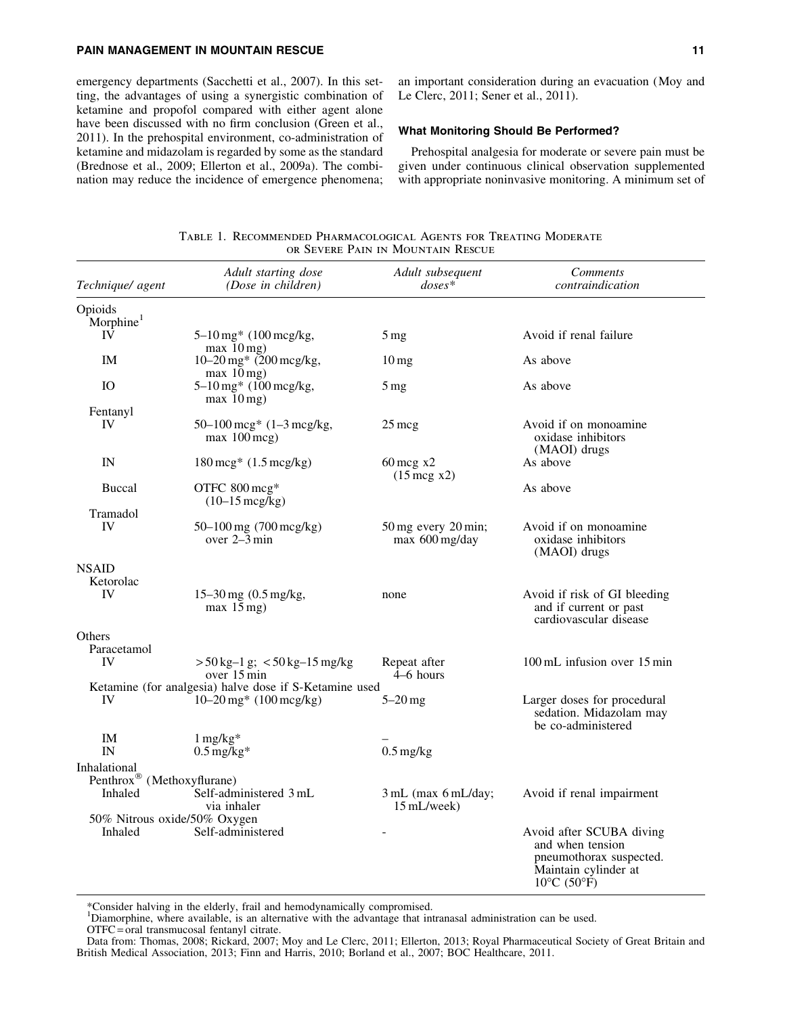# **PAIN MANAGEMENT IN MOUNTAIN RESCUE 11 AND 2008 11 AND 2009 11 AND 2009 11 AND 2009 11 AND 2009 11 AND 2009 11**

emergency departments (Sacchetti et al., 2007). In this setting, the advantages of using a synergistic combination of ketamine and propofol compared with either agent alone have been discussed with no firm conclusion (Green et al., 2011). In the prehospital environment, co-administration of ketamine and midazolam is regarded by some as the standard (Brednose et al., 2009; Ellerton et al., 2009a). The combination may reduce the incidence of emergence phenomena; an important consideration during an evacuation (Moy and Le Clerc, 2011; Sener et al., 2011).

# What Monitoring Should Be Performed?

Prehospital analgesia for moderate or severe pain must be given under continuous clinical observation supplemented with appropriate noninvasive monitoring. A minimum set of

| Technique/ agent                           | Adult starting dose<br>(Dose in children)                         | Adult subsequent<br>$doses^*$                                    | <i>Comments</i><br>contraindication                                                                                                 |
|--------------------------------------------|-------------------------------------------------------------------|------------------------------------------------------------------|-------------------------------------------------------------------------------------------------------------------------------------|
| Opioids                                    |                                                                   |                                                                  |                                                                                                                                     |
| Morphine <sup>1</sup>                      |                                                                   |                                                                  |                                                                                                                                     |
| IV                                         | 5-10 mg* (100 mcg/kg,<br>max 10 mg                                | 5 <sub>mg</sub>                                                  | Avoid if renal failure                                                                                                              |
| IM                                         | 10-20 mg* (200 mcg/kg,<br>max 10 mg                               | 10 <sub>mg</sub>                                                 | As above                                                                                                                            |
| IO                                         | $5-10$ mg* $(100$ mcg/kg,<br>max 10 mg                            | 5 <sub>mg</sub>                                                  | As above                                                                                                                            |
| Fentanyl                                   |                                                                   |                                                                  |                                                                                                                                     |
| IV                                         | 50-100 mcg* (1-3 mcg/kg,<br>$max$ 100 $mcg$ )                     | $25 \,\mathrm{mcg}$                                              | Avoid if on monoamine<br>oxidase inhibitors<br>(MAOI) drugs                                                                         |
| IN                                         | $180 \,\text{mcg}^* (1.5 \,\text{mcg/kg})$                        | $60 \text{ mcg}$ x2<br>$(15 \text{ mcg x2})$                     | As above                                                                                                                            |
| Buccal                                     | OTFC 800 mcg*<br>$(10-15 \text{ mcg/kg})$                         |                                                                  | As above                                                                                                                            |
| Tramadol                                   |                                                                   |                                                                  |                                                                                                                                     |
| IV                                         | 50-100 mg (700 mcg/kg)<br>over $2-3$ min                          | $50 \,\mathrm{mg}$ every $20 \,\mathrm{min}$ ;<br>max 600 mg/day | Avoid if on monoamine<br>oxidase inhibitors<br>(MAOI) drugs                                                                         |
| <b>NSAID</b><br>Ketorolac                  |                                                                   |                                                                  |                                                                                                                                     |
| IV                                         | $15-30$ mg $(0.5$ mg/kg,<br>max 15 mg                             | none                                                             | Avoid if risk of GI bleeding<br>and if current or past<br>cardiovascular disease                                                    |
| Others                                     |                                                                   |                                                                  |                                                                                                                                     |
| Paracetamol                                |                                                                   |                                                                  |                                                                                                                                     |
| IV                                         | $> 50 \text{ kg} - 1 \text{ g}$ ; < 50 kg-15 mg/kg<br>over 15 min | Repeat after<br>4–6 hours                                        | 100 mL infusion over 15 min                                                                                                         |
|                                            | Ketamine (for analgesia) halve dose if S-Ketamine used            |                                                                  |                                                                                                                                     |
| IV                                         | $10-20$ mg* $(100$ mcg/kg)                                        | $5-20$ mg                                                        | Larger doses for procedural<br>sedation. Midazolam may<br>be co-administered                                                        |
| IM                                         | $1 \text{ mg/kg}$ *                                               |                                                                  |                                                                                                                                     |
| IN                                         | $0.5 \,\mathrm{mg/kg*}$                                           | $0.5$ mg/kg                                                      |                                                                                                                                     |
| Inhalational<br>Penthrox® (Methoxyflurane) |                                                                   |                                                                  |                                                                                                                                     |
| Inhaled                                    | Self-administered 3 mL<br>via inhaler                             | $3 mL$ (max 6 mL/day;<br>15 mL/week)                             | Avoid if renal impairment                                                                                                           |
| 50% Nitrous oxide/50% Oxygen               |                                                                   |                                                                  |                                                                                                                                     |
| Inhaled                                    | Self-administered                                                 |                                                                  | Avoid after SCUBA diving<br>and when tension<br>pneumothorax suspected.<br>Maintain cylinder at<br>$10^{\circ}$ C (50 $^{\circ}$ F) |

Table 1. Recommended Pharmacological Agents for Treating Moderate or Severe Pain in Mountain Rescue

\*Consider halving in the elderly, frail and hemodynamically compromised.

<sup>1</sup>Diamorphine, where available, is an alternative with the advantage that intranasal administration can be used.

OTFC= oral transmucosal fentanyl citrate.

Data from: Thomas, 2008; Rickard, 2007; Moy and Le Clerc, 2011; Ellerton, 2013; Royal Pharmaceutical Society of Great Britain and British Medical Association, 2013; Finn and Harris, 2010; Borland et al., 2007; BOC Healthcare, 2011.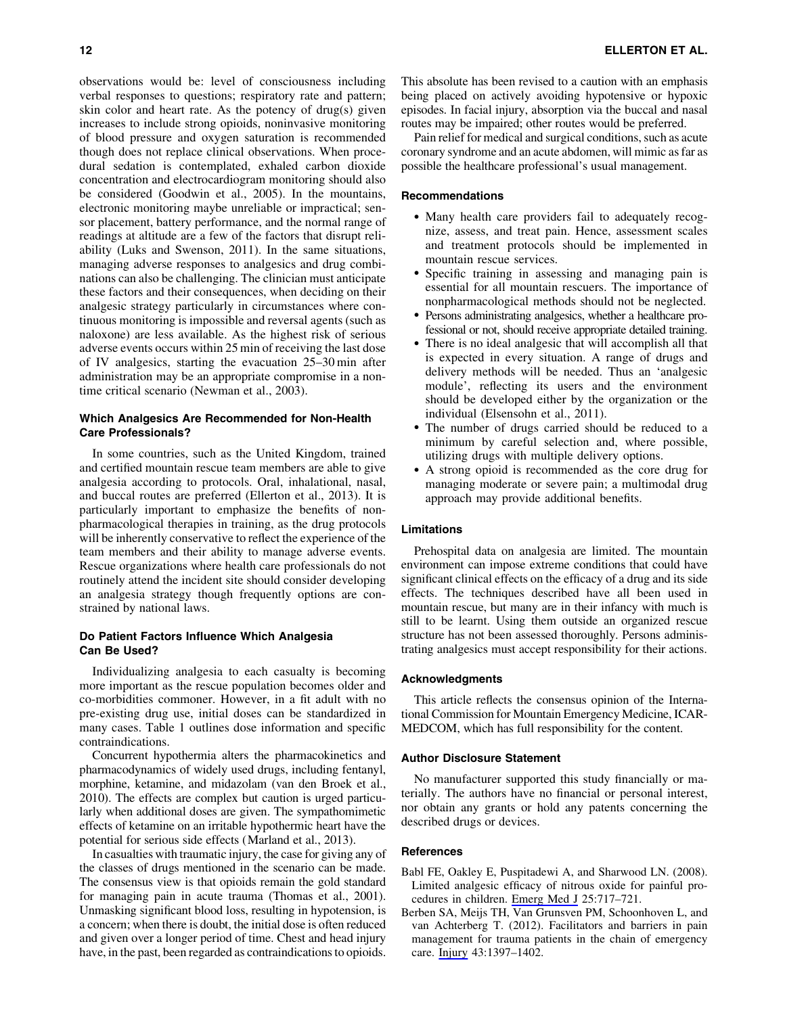observations would be: level of consciousness including verbal responses to questions; respiratory rate and pattern; skin color and heart rate. As the potency of drug(s) given increases to include strong opioids, noninvasive monitoring of blood pressure and oxygen saturation is recommended though does not replace clinical observations. When procedural sedation is contemplated, exhaled carbon dioxide concentration and electrocardiogram monitoring should also be considered (Goodwin et al., 2005). In the mountains, electronic monitoring maybe unreliable or impractical; sensor placement, battery performance, and the normal range of readings at altitude are a few of the factors that disrupt reliability (Luks and Swenson, 2011). In the same situations, managing adverse responses to analgesics and drug combinations can also be challenging. The clinician must anticipate these factors and their consequences, when deciding on their analgesic strategy particularly in circumstances where continuous monitoring is impossible and reversal agents (such as naloxone) are less available. As the highest risk of serious adverse events occurs within 25 min of receiving the last dose of IV analgesics, starting the evacuation 25–30 min after administration may be an appropriate compromise in a nontime critical scenario (Newman et al., 2003).

#### Which Analgesics Are Recommended for Non-Health Care Professionals?

In some countries, such as the United Kingdom, trained and certified mountain rescue team members are able to give analgesia according to protocols. Oral, inhalational, nasal, and buccal routes are preferred (Ellerton et al., 2013). It is particularly important to emphasize the benefits of nonpharmacological therapies in training, as the drug protocols will be inherently conservative to reflect the experience of the team members and their ability to manage adverse events. Rescue organizations where health care professionals do not routinely attend the incident site should consider developing an analgesia strategy though frequently options are constrained by national laws.

# Do Patient Factors Influence Which Analgesia Can Be Used?

Individualizing analgesia to each casualty is becoming more important as the rescue population becomes older and co-morbidities commoner. However, in a fit adult with no pre-existing drug use, initial doses can be standardized in many cases. Table 1 outlines dose information and specific contraindications.

Concurrent hypothermia alters the pharmacokinetics and pharmacodynamics of widely used drugs, including fentanyl, morphine, ketamine, and midazolam (van den Broek et al., 2010). The effects are complex but caution is urged particularly when additional doses are given. The sympathomimetic effects of ketamine on an irritable hypothermic heart have the potential for serious side effects (Marland et al., 2013).

In casualties with traumatic injury, the case for giving any of the classes of drugs mentioned in the scenario can be made. The consensus view is that opioids remain the gold standard for managing pain in acute trauma (Thomas et al., 2001). Unmasking significant blood loss, resulting in hypotension, is a concern; when there is doubt, the initial dose is often reduced and given over a longer period of time. Chest and head injury have, in the past, been regarded as contraindications to opioids. This absolute has been revised to a caution with an emphasis being placed on actively avoiding hypotensive or hypoxic episodes. In facial injury, absorption via the buccal and nasal routes may be impaired; other routes would be preferred.

Pain relief for medical and surgical conditions, such as acute coronary syndrome and an acute abdomen, will mimic as far as possible the healthcare professional's usual management.

### Recommendations

- Many health care providers fail to adequately recognize, assess, and treat pain. Hence, assessment scales and treatment protocols should be implemented in mountain rescue services.
- Specific training in assessing and managing pain is essential for all mountain rescuers. The importance of nonpharmacological methods should not be neglected.
- Persons administrating analgesics, whether a healthcare professional or not, should receive appropriate detailed training.
- There is no ideal analgesic that will accomplish all that is expected in every situation. A range of drugs and delivery methods will be needed. Thus an 'analgesic module', reflecting its users and the environment should be developed either by the organization or the individual (Elsensohn et al., 2011).
- $\bullet$  The number of drugs carried should be reduced to a minimum by careful selection and, where possible, utilizing drugs with multiple delivery options.
- A strong opioid is recommended as the core drug for managing moderate or severe pain; a multimodal drug approach may provide additional benefits.

#### Limitations

Prehospital data on analgesia are limited. The mountain environment can impose extreme conditions that could have significant clinical effects on the efficacy of a drug and its side effects. The techniques described have all been used in mountain rescue, but many are in their infancy with much is still to be learnt. Using them outside an organized rescue structure has not been assessed thoroughly. Persons administrating analgesics must accept responsibility for their actions.

#### Acknowledgments

This article reflects the consensus opinion of the International Commission for Mountain Emergency Medicine, ICAR-MEDCOM, which has full responsibility for the content.

#### Author Disclosure Statement

No manufacturer supported this study financially or materially. The authors have no financial or personal interest, nor obtain any grants or hold any patents concerning the described drugs or devices.

#### References

- Babl FE, Oakley E, Puspitadewi A, and Sharwood LN. (2008). Limited analgesic efficacy of nitrous oxide for painful procedures in children. Emerg Med J 25:717–721.
- Berben SA, Meijs TH, Van Grunsven PM, Schoonhoven L, and van Achterberg T. (2012). Facilitators and barriers in pain management for trauma patients in the chain of emergency care. Injury 43:1397–1402.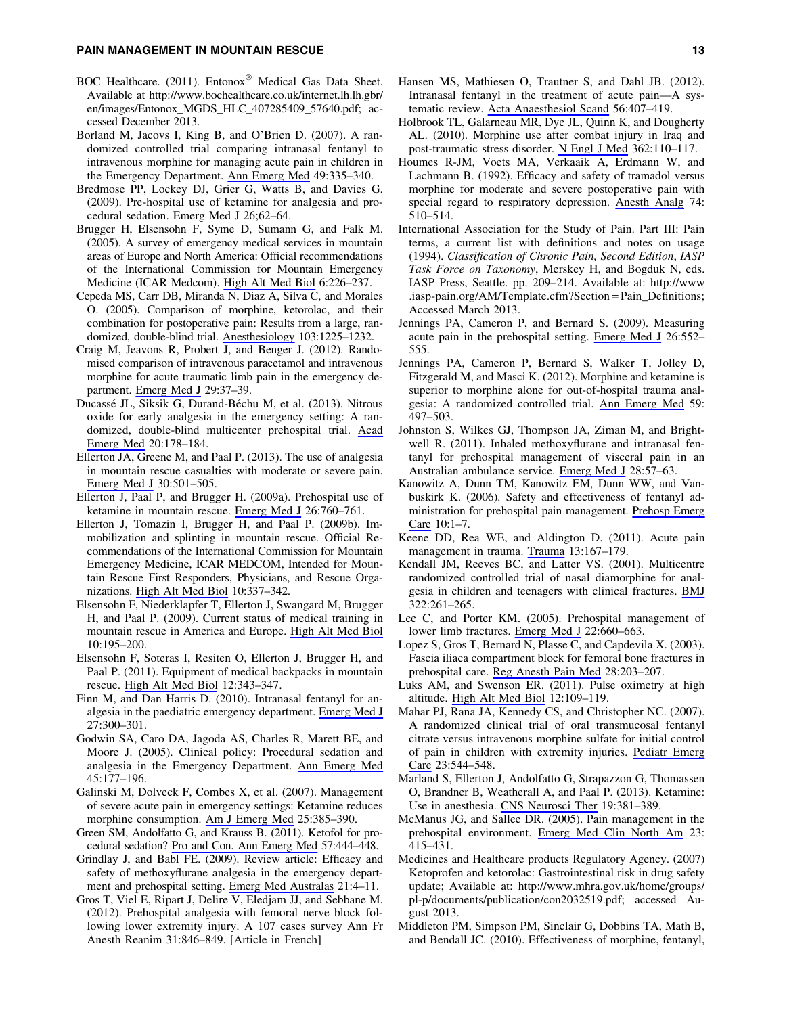#### PAIN MANAGEMENT IN MOUNTAIN RESCUE 2008 13 AND 13 AND 13

- BOC Healthcare. (2011). Entonox® Medical Gas Data Sheet. Available at http://www.bochealthcare.co.uk/internet.lh.lh.gbr/ en/images/Entonox\_MGDS\_HLC\_407285409\_57640.pdf; accessed December 2013.
- Borland M, Jacovs I, King B, and O'Brien D. (2007). A randomized controlled trial comparing intranasal fentanyl to intravenous morphine for managing acute pain in children in the Emergency Department. Ann Emerg Med 49:335–340.
- Bredmose PP, Lockey DJ, Grier G, Watts B, and Davies G. (2009). Pre-hospital use of ketamine for analgesia and procedural sedation. Emerg Med J 26;62–64.
- Brugger H, Elsensohn F, Syme D, Sumann G, and Falk M. (2005). A survey of emergency medical services in mountain areas of Europe and North America: Official recommendations of the International Commission for Mountain Emergency Medicine (ICAR Medcom). High Alt Med Biol 6:226–237.
- Cepeda MS, Carr DB, Miranda N, Diaz A, Silva C, and Morales O. (2005). Comparison of morphine, ketorolac, and their combination for postoperative pain: Results from a large, randomized, double-blind trial. Anesthesiology 103:1225–1232.
- Craig M, Jeavons R, Probert J, and Benger J. (2012). Randomised comparison of intravenous paracetamol and intravenous morphine for acute traumatic limb pain in the emergency department. Emerg Med J 29:37–39.
- Ducassé JL, Siksik G, Durand-Béchu M, et al. (2013). Nitrous oxide for early analgesia in the emergency setting: A randomized, double-blind multicenter prehospital trial. Acad Emerg Med 20:178–184.
- Ellerton JA, Greene M, and Paal P. (2013). The use of analgesia in mountain rescue casualties with moderate or severe pain. Emerg Med J 30:501–505.
- Ellerton J, Paal P, and Brugger H. (2009a). Prehospital use of ketamine in mountain rescue. Emerg Med J 26:760–761.
- Ellerton J, Tomazin I, Brugger H, and Paal P. (2009b). Immobilization and splinting in mountain rescue. Official Recommendations of the International Commission for Mountain Emergency Medicine, ICAR MEDCOM, Intended for Mountain Rescue First Responders, Physicians, and Rescue Organizations. High Alt Med Biol 10:337–342.
- Elsensohn F, Niederklapfer T, Ellerton J, Swangard M, Brugger H, and Paal P. (2009). Current status of medical training in mountain rescue in America and Europe. High Alt Med Biol 10:195–200.
- Elsensohn F, Soteras I, Resiten O, Ellerton J, Brugger H, and Paal P. (2011). Equipment of medical backpacks in mountain rescue. High Alt Med Biol 12:343–347.
- Finn M, and Dan Harris D. (2010). Intranasal fentanyl for analgesia in the paediatric emergency department. Emerg Med J 27:300–301.
- Godwin SA, Caro DA, Jagoda AS, Charles R, Marett BE, and Moore J. (2005). Clinical policy: Procedural sedation and analgesia in the Emergency Department. Ann Emerg Med 45:177–196.
- Galinski M, Dolveck F, Combes X, et al. (2007). Management of severe acute pain in emergency settings: Ketamine reduces morphine consumption. Am J Emerg Med 25:385–390.
- Green SM, Andolfatto G, and Krauss B. (2011). Ketofol for procedural sedation? Pro and Con. Ann Emerg Med 57:444–448.
- Grindlay J, and Babl FE. (2009). Review article: Efficacy and safety of methoxyflurane analgesia in the emergency department and prehospital setting. Emerg Med Australas 21:4–11.
- Gros T, Viel E, Ripart J, Delire V, Eledjam JJ, and Sebbane M. (2012). Prehospital analgesia with femoral nerve block following lower extremity injury. A 107 cases survey Ann Fr Anesth Reanim 31:846–849. [Article in French]
- Hansen MS, Mathiesen O, Trautner S, and Dahl JB. (2012). Intranasal fentanyl in the treatment of acute pain—A systematic review. Acta Anaesthesiol Scand 56:407–419.
- Holbrook TL, Galarneau MR, Dye JL, Quinn K, and Dougherty AL. (2010). Morphine use after combat injury in Iraq and post-traumatic stress disorder. N Engl J Med 362:110–117.
- Houmes R-JM, Voets MA, Verkaaik A, Erdmann W, and Lachmann B. (1992). Efficacy and safety of tramadol versus morphine for moderate and severe postoperative pain with special regard to respiratory depression. Anesth Analg 74: 510–514.
- International Association for the Study of Pain. Part III: Pain terms, a current list with definitions and notes on usage (1994). *Classification of Chronic Pain, Second Edition*, *IASP Task Force on Taxonomy*, Merskey H, and Bogduk N, eds. IASP Press, Seattle. pp. 209–214. Available at: http://www .iasp-pain.org/AM/Template.cfm?Section = Pain\_Definitions; Accessed March 2013.
- Jennings PA, Cameron P, and Bernard S. (2009). Measuring acute pain in the prehospital setting. Emerg Med J 26:552– 555.
- Jennings PA, Cameron P, Bernard S, Walker T, Jolley D, Fitzgerald M, and Masci K. (2012). Morphine and ketamine is superior to morphine alone for out-of-hospital trauma analgesia: A randomized controlled trial. Ann Emerg Med 59: 497–503.
- Johnston S, Wilkes GJ, Thompson JA, Ziman M, and Brightwell R. (2011). Inhaled methoxyflurane and intranasal fentanyl for prehospital management of visceral pain in an Australian ambulance service. Emerg Med J 28:57–63.
- Kanowitz A, Dunn TM, Kanowitz EM, Dunn WW, and Vanbuskirk K. (2006). Safety and effectiveness of fentanyl administration for prehospital pain management. Prehosp Emerg Care 10:1–7.
- Keene DD, Rea WE, and Aldington D. (2011). Acute pain management in trauma. Trauma 13:167–179.
- Kendall JM, Reeves BC, and Latter VS. (2001). Multicentre randomized controlled trial of nasal diamorphine for analgesia in children and teenagers with clinical fractures. BMJ 322:261–265.
- Lee C, and Porter KM. (2005). Prehospital management of lower limb fractures. Emerg Med J 22:660–663.
- Lopez S, Gros T, Bernard N, Plasse C, and Capdevila X. (2003). Fascia iliaca compartment block for femoral bone fractures in prehospital care. Reg Anesth Pain Med 28:203–207.
- Luks AM, and Swenson ER. (2011). Pulse oximetry at high altitude. High Alt Med Biol 12:109–119.
- Mahar PJ, Rana JA, Kennedy CS, and Christopher NC. (2007). A randomized clinical trial of oral transmucosal fentanyl citrate versus intravenous morphine sulfate for initial control of pain in children with extremity injuries. Pediatr Emerg Care 23:544–548.
- Marland S, Ellerton J, Andolfatto G, Strapazzon G, Thomassen O, Brandner B, Weatherall A, and Paal P. (2013). Ketamine: Use in anesthesia. CNS Neurosci Ther 19:381–389.
- McManus JG, and Sallee DR. (2005). Pain management in the prehospital environment. Emerg Med Clin North Am 23: 415–431.
- Medicines and Healthcare products Regulatory Agency. (2007) Ketoprofen and ketorolac: Gastrointestinal risk in drug safety update; Available at: http://www.mhra.gov.uk/home/groups/ pl-p/documents/publication/con2032519.pdf; accessed August 2013.
- Middleton PM, Simpson PM, Sinclair G, Dobbins TA, Math B, and Bendall JC. (2010). Effectiveness of morphine, fentanyl,